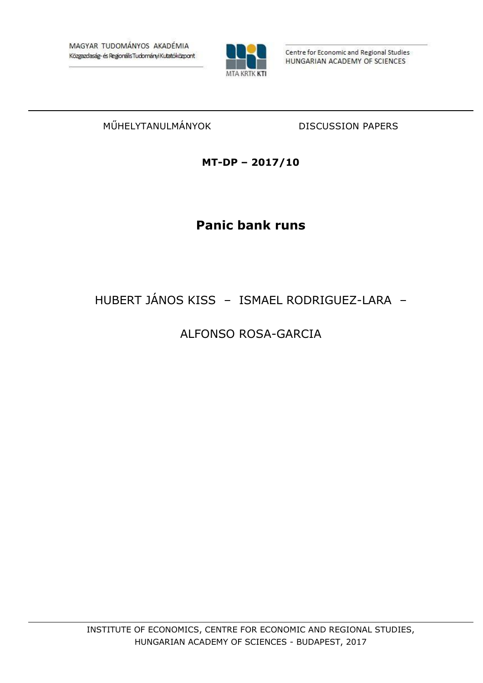

Centre for Economic and Regional Studies HUNGARIAN ACADEMY OF SCIENCES

## MŰHELYTANULMÁNYOK DISCUSSION PAPERS

**MT-DP – 2017/10**

# **Panic bank runs**

## HUBERT JÁNOS KISS – ISMAEL RODRIGUEZ-LARA –

## ALFONSO ROSA-GARCIA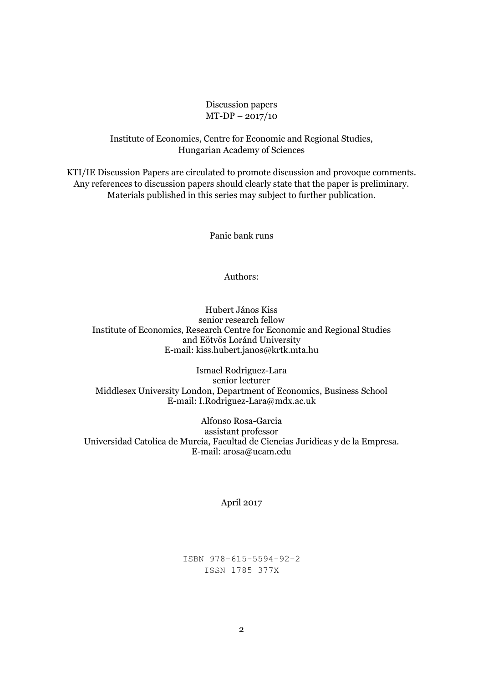## Discussion papers MT-DP – 2017/10

## Institute of Economics, Centre for Economic and Regional Studies, Hungarian Academy of Sciences

KTI/IE Discussion Papers are circulated to promote discussion and provoque comments. Any references to discussion papers should clearly state that the paper is preliminary. Materials published in this series may subject to further publication.

Panic bank runs

### Authors:

Hubert János Kiss senior research fellow Institute of Economics, Research Centre for Economic and Regional Studies and Eötvös Loránd University E-mail: kiss.hubert.janos@krtk.mta.hu

Ismael Rodriguez-Lara senior lecturer Middlesex University London, Department of Economics, Business School E-mail: I.Rodriguez-Lara@mdx.ac.uk

Alfonso Rosa-Garcia assistant professor Universidad Catolica de Murcia, Facultad de Ciencias Juridicas y de la Empresa. E-mail: arosa@ucam.edu

#### April 2017

ISBN 978-615-5594-92-2 ISSN 1785 377X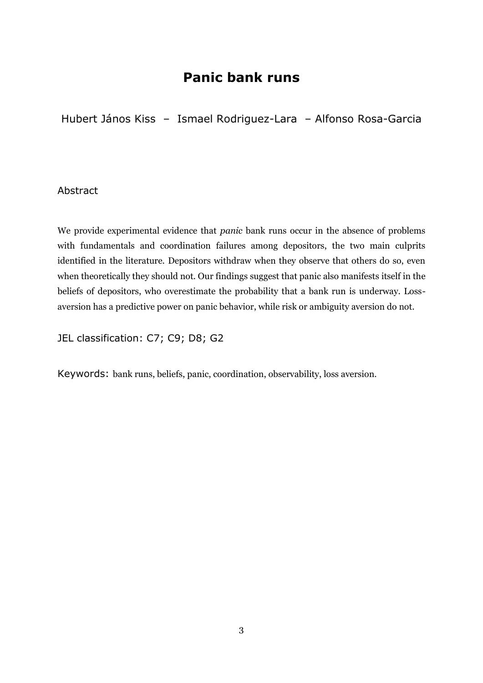## **Panic bank runs**

Hubert János Kiss – Ismael Rodriguez-Lara – Alfonso Rosa-Garcia

## Abstract

We provide experimental evidence that *panic* bank runs occur in the absence of problems with fundamentals and coordination failures among depositors, the two main culprits identified in the literature. Depositors withdraw when they observe that others do so, even when theoretically they should not. Our findings suggest that panic also manifests itself in the beliefs of depositors, who overestimate the probability that a bank run is underway. Lossaversion has a predictive power on panic behavior, while risk or ambiguity aversion do not.

JEL classification: C7; C9; D8; G2

Keywords: bank runs, beliefs, panic, coordination, observability, loss aversion.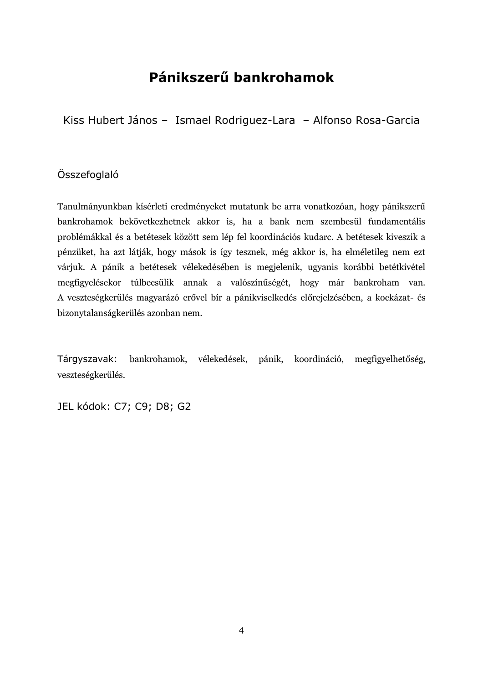# **Pánikszerű bankrohamok**

Kiss Hubert János – Ismael Rodriguez-Lara – Alfonso Rosa-Garcia

## Összefoglaló

Tanulmányunkban kísérleti eredményeket mutatunk be arra vonatkozóan, hogy pánikszerű bankrohamok bekövetkezhetnek akkor is, ha a bank nem szembesül fundamentális problémákkal és a betétesek között sem lép fel koordinációs kudarc. A betétesek kiveszik a pénzüket, ha azt látják, hogy mások is így tesznek, még akkor is, ha elméletileg nem ezt várjuk. A pánik a betétesek vélekedésében is megjelenik, ugyanis korábbi betétkivétel megfigyelésekor túlbecsülik annak a valószínűségét, hogy már bankroham van. A veszteségkerülés magyarázó erővel bír a pánikviselkedés előrejelzésében, a kockázat- és bizonytalanságkerülés azonban nem.

Tárgyszavak: bankrohamok, vélekedések, pánik, koordináció, megfigyelhetőség, veszteségkerülés.

JEL kódok: C7; C9; D8; G2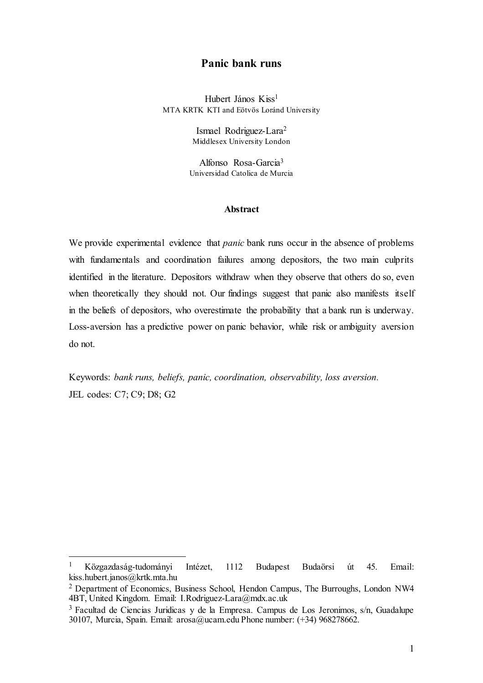## **Panic bank runs**

Hubert János Kiss<sup>1</sup> MTA KRTK KTI and Eötvös Loránd University

> Ismael Rodriguez-Lara<sup>2</sup> Middlesex University London

Alfonso Rosa-Garcia<sup>3</sup> Universidad Catolica de Murcia

## **Abstract**

We provide experimental evidence that *panic* bank runs occur in the absence of problems with fundamentals and coordination failures among depositors, the two main culprits identified in the literature. Depositors withdraw when they observe that others do so, even when theoretically they should not. Our findings suggest that panic also manifests itself in the beliefs of depositors, who overestimate the probability that a bank run is underway. Loss-aversion has a predictive power on panic behavior, while risk or ambiguity aversion do not.

Keywords: *bank runs, beliefs, panic, coordination, observability, loss aversion.* JEL codes: C7; C9; D8; G2

<sup>1</sup> Közgazdaság-tudományi Intézet, 1112 Budapest Budaörsi út 45. Email: kiss.hubert.janos@krtk.mta.hu

<sup>2</sup> Department of Economics, Business School, Hendon Campus, The Burroughs, London NW4 4BT, United Kingdom. Email: I.Rodriguez-Lara@mdx.ac.uk

<sup>3</sup> Facultad de Ciencias Juridicas y de la Empresa. Campus de Los Jeronimos, s/n, Guadalupe 30107, Murcia, Spain. Email: arosa@ucam.edu Phone number: (+34) 968278662.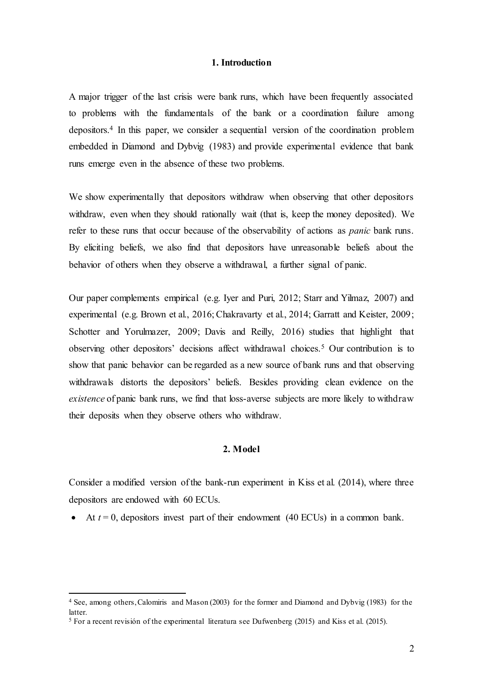### **1. Introduction**

A major trigger of the last crisis were bank runs, which have been frequently associated to problems with the fundamentals of the bank or a coordination failure among depositors.<sup>4</sup> In this paper, we consider a sequential version of the coordination problem embedded in Diamond and Dybvig (1983) and provide experimental evidence that bank runs emerge even in the absence of these two problems.

We show experimentally that depositors withdraw when observing that other depositors withdraw, even when they should rationally wait (that is, keep the money deposited). We refer to these runs that occur because of the observability of actions as *panic* bank runs. By eliciting beliefs, we also find that depositors have unreasonable beliefs about the behavior of others when they observe a withdrawal, a further signal of panic.

Our paper complements empirical (e.g. Iyer and Puri, 2012; Starr and Yilmaz, 2007) and experimental (e.g. Brown et al., 2016; Chakravarty et al., 2014; Garratt and Keister, 2009; Schotter and Yorulmazer, 2009; Davis and Reilly, 2016) studies that highlight that observing other depositors' decisions affect withdrawal choices.<sup>5</sup> Our contribution is to show that panic behavior can be regarded as a new source of bank runs and that observing withdrawals distorts the depositors' beliefs. Besides providing clean evidence on the *existence* of panic bank runs, we find that loss-averse subjects are more likely to withdraw their deposits when they observe others who withdraw.

## **2. Model**

Consider a modified version of the bank-run experiment in Kiss et al. (2014), where three depositors are endowed with 60 ECUs.

At  $t = 0$ , depositors invest part of their endowment (40 ECUs) in a common bank.

<sup>4</sup> See, among others, Calomiris and Mason (2003) for the former and Diamond and Dybvig (1983) for the latter.

<sup>&</sup>lt;sup>5</sup> For a recent revisión of the experimental literatura see Dufwenberg (2015) and Kiss et al. (2015).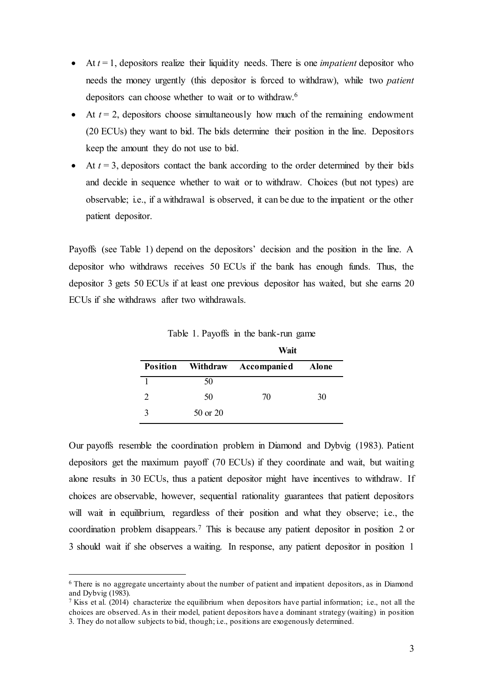- At *t* = 1, depositors realize their liquidity needs. There is one *impatient* depositor who needs the money urgently (this depositor is forced to withdraw), while two *patient* depositors can choose whether to wait or to withdraw.<sup>6</sup>
- $\bullet$  At  $t = 2$ , depositors choose simultaneously how much of the remaining endowment (20 ECUs) they want to bid. The bids determine their position in the line. Depositors keep the amount they do not use to bid.
- At  $t = 3$ , depositors contact the bank according to the order determined by their bids and decide in sequence whether to wait or to withdraw. Choices (but not types) are observable; i.e., if a withdrawal is observed, it can be due to the impatient or the other patient depositor.

Payoffs (see Table 1) depend on the depositors' decision and the position in the line. A depositor who withdraws receives 50 ECUs if the bank has enough funds. Thus, the depositor 3 gets 50 ECUs if at least one previous depositor has waited, but she earns 20 ECUs if she withdraws after two withdrawals.

|          | Wait                                |    |  |
|----------|-------------------------------------|----|--|
|          | Position Withdraw Accompanied Alone |    |  |
| 50       |                                     |    |  |
| 50       | 70                                  | 30 |  |
| 50 or 20 |                                     |    |  |

Table 1. Payoffs in the bank-run game

Our payoffs resemble the coordination problem in Diamond and Dybvig (1983). Patient depositors get the maximum payoff (70 ECUs) if they coordinate and wait, but waiting alone results in 30 ECUs, thus a patient depositor might have incentives to withdraw. If choices are observable, however, sequential rationality guarantees that patient depositors will wait in equilibrium, regardless of their position and what they observe; i.e., the coordination problem disappears.<sup>7</sup> This is because any patient depositor in position 2 or 3 should wait if she observes a waiting. In response, any patient depositor in position 1

<sup>6</sup> There is no aggregate uncertainty about the number of patient and impatient depositors, as in Diamond and Dybvig (1983).

<sup>7</sup> Kiss et al. (2014) characterize the equilibrium when depositors have partial information; i.e., not all the choices are observed. As in their model, patient depositors have a dominant strategy (waiting) in position 3. They do not allow subjects to bid, though; i.e., positions are exogenously determined.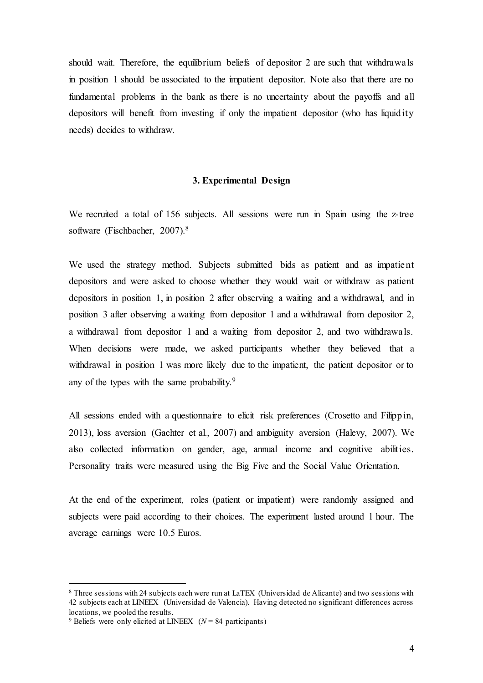should wait. Therefore, the equilibrium beliefs of depositor 2 are such that withdrawals in position 1 should be associated to the impatient depositor. Note also that there are no fundamental problems in the bank as there is no uncertainty about the payoffs and all depositors will benefit from investing if only the impatient depositor (who has liquidity needs) decides to withdraw.

### **3. Experimental Design**

We recruited a total of 156 subjects. All sessions were run in Spain using the z-tree software (Fischbacher, 2007). 8

We used the strategy method. Subjects submitted bids as patient and as impatient depositors and were asked to choose whether they would wait or withdraw as patient depositors in position 1, in position 2 after observing a waiting and a withdrawal, and in position 3 after observing a waiting from depositor 1 and a withdrawal from depositor 2, a withdrawal from depositor 1 and a waiting from depositor 2, and two withdrawals. When decisions were made, we asked participants whether they believed that a withdrawal in position 1 was more likely due to the impatient, the patient depositor or to any of the types with the same probability.<sup>9</sup>

All sessions ended with a questionnaire to elicit risk preferences (Crosetto and Filippin, 2013), loss aversion (Gachter et al., 2007) and ambiguity aversion (Halevy, 2007). We also collected information on gender, age, annual income and cognitive abilities. Personality traits were measured using the Big Five and the Social Value Orientation.

At the end of the experiment, roles (patient or impatient) were randomly assigned and subjects were paid according to their choices. The experiment lasted around 1 hour. The average earnings were 10.5 Euros.

<sup>8</sup> Three sessions with 24 subjects each were run at LaTEX (Universidad de Alicante) and two sessions with 42 subjects each at LINEEX (Universidad de Valencia). Having detected no significant differences across locations, we pooled the results.

<sup>&</sup>lt;sup>9</sup> Beliefs were only elicited at LINEEX  $(N = 84$  participants)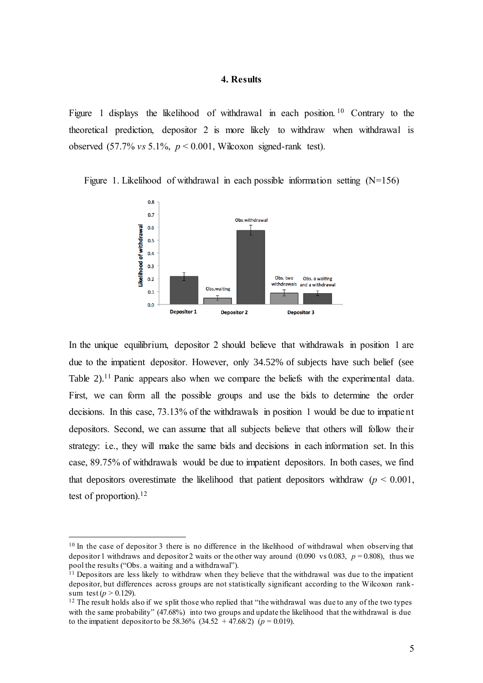#### **4. Results**

Figure 1 displays the likelihood of withdrawal in each position.<sup>10</sup> Contrary to the theoretical prediction, depositor 2 is more likely to withdraw when withdrawal is observed  $(57.7\% \text{ vs } 5.1\%, \text{ p} < 0.001, \text{Wilcoxon signed-rank test}).$ 



Figure 1. Likelihood of withdrawal in each possible information setting  $(N=156)$ 

In the unique equilibrium, depositor 2 should believe that withdrawals in position 1 are due to the impatient depositor. However, only 34.52% of subjects have such belief (see Table 2).<sup>11</sup> Panic appears also when we compare the beliefs with the experimental data. First, we can form all the possible groups and use the bids to determine the order decisions. In this case, 73.13% of the withdrawals in position 1 would be due to impatient depositors. Second, we can assume that all subjects believe that others will follow their strategy: i.e., they will make the same bids and decisions in each information set. In this case, 89.75% of withdrawals would be due to impatient depositors. In both cases, we find that depositors overestimate the likelihood that patient depositors withdraw  $(p < 0.001)$ , test of proportion).<sup>12</sup>

<sup>&</sup>lt;sup>10</sup> In the case of depositor 3 there is no difference in the likelihood of withdrawal when observing that depositor 1 withdraws and depositor 2 waits or the other way around  $(0.090 \text{ vs } 0.083, p = 0.808)$ , thus we pool the results ("Obs. a waiting and a withdrawal").

<sup>&</sup>lt;sup>11</sup> Depositors are less likely to withdraw when they believe that the withdrawal was due to the impatient depositor, but differences across groups are not statistically significant according to the Wilcoxon ranksum test ( $p > 0.129$ ).

<sup>&</sup>lt;sup>12</sup> The result holds also if we split those who replied that "the withdrawal was due to any of the two types with the same probability" (47.68%) into two groups and update the likelihood that the withdrawal is due to the impatient depositor to be 58.36% (34.52 + 47.68/2) ( $p = 0.019$ ).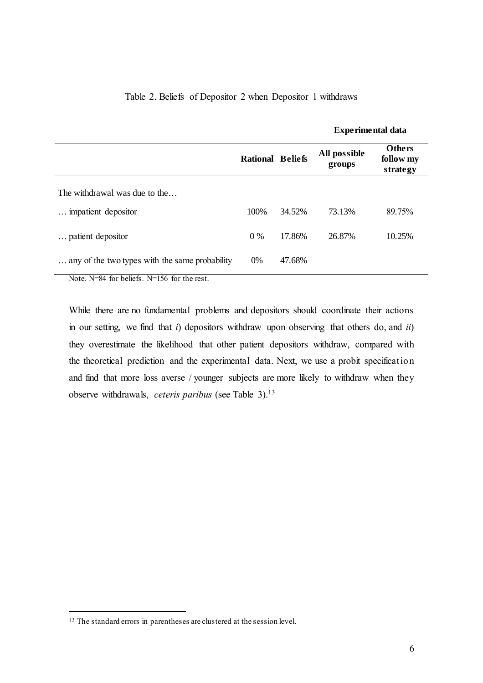### Table 2. Beliefs of Depositor 2 when Depositor 1 withdraws

|                                                |                         |        | <b>Experimental data</b> |                                        |
|------------------------------------------------|-------------------------|--------|--------------------------|----------------------------------------|
|                                                | <b>Rational Beliefs</b> |        | All possible<br>groups   | <b>Others</b><br>follow my<br>strategy |
| The withdrawal was due to the                  |                         |        |                          |                                        |
| impatient depositor                            | 100%                    | 34.52% | 73.13%                   | 89.75%                                 |
| patient depositor                              | $0\%$                   | 17.86% | 26.87%                   | 10.25%                                 |
| any of the two types with the same probability | 0%                      | 47.68% |                          |                                        |

Note. N=84 for beliefs. N=156 for the rest.

While there are no fundamental problems and depositors should coordinate their actions in our setting, we find that *i*) depositors withdraw upon observing that others do, and *ii*) they overestimate the likelihood that other patient depositors withdraw, compared with the theoretical prediction and the experimental data. Next, we use a probit specification and find that more loss averse / younger subjects are more likely to withdraw when they observe withdrawals, *ceteris paribus* (see Table 3). 13

<sup>&</sup>lt;sup>13</sup> The standard errors in parentheses are clustered at the session level.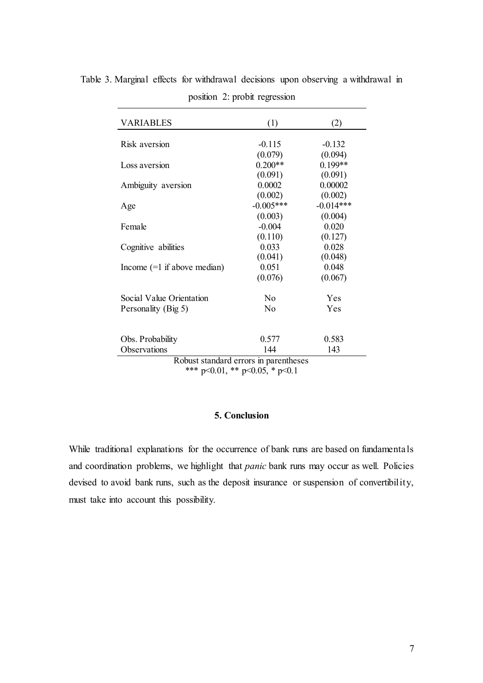| <b>VARIABLES</b>                      | (1)            | (2)         |  |  |  |  |
|---------------------------------------|----------------|-------------|--|--|--|--|
|                                       |                |             |  |  |  |  |
| Risk aversion                         | $-0.115$       | $-0.132$    |  |  |  |  |
|                                       | (0.079)        | (0.094)     |  |  |  |  |
| Loss aversion                         | $0.200**$      | $0.199**$   |  |  |  |  |
|                                       | (0.091)        | (0.091)     |  |  |  |  |
| Ambiguity aversion                    | 0.0002         | 0.00002     |  |  |  |  |
|                                       | (0.002)        | (0.002)     |  |  |  |  |
| Age                                   | $-0.005***$    | $-0.014***$ |  |  |  |  |
|                                       | (0.003)        | (0.004)     |  |  |  |  |
| Female                                | $-0.004$       | 0.020       |  |  |  |  |
|                                       | (0.110)        | (0.127)     |  |  |  |  |
| Cognitive abilities                   | 0.033          | 0.028       |  |  |  |  |
|                                       | (0.041)        | (0.048)     |  |  |  |  |
| Income $(=1$ if above median)         | 0.051          | 0.048       |  |  |  |  |
|                                       | (0.076)        | (0.067)     |  |  |  |  |
| Social Value Orientation              | N <sub>0</sub> | Yes         |  |  |  |  |
| Personality (Big 5)                   | N <sub>0</sub> | Yes         |  |  |  |  |
|                                       |                |             |  |  |  |  |
| Obs. Probability                      | 0.577          | 0.583       |  |  |  |  |
| Observations                          | 144            | 143         |  |  |  |  |
| Robust standard errors in parentheses |                |             |  |  |  |  |
| $0.01 + 4$ $0.07 + 0.1$               |                |             |  |  |  |  |

Table 3. Marginal effects for withdrawal decisions upon observing a withdrawal in position 2: probit regression

\*\*\* p<0.01, \*\* p<0.05, \* p<0.1

## **5. Conclusion**

While traditional explanations for the occurrence of bank runs are based on fundamentals and coordination problems, we highlight that *panic* bank runs may occur as well. Policies devised to avoid bank runs, such as the deposit insurance or suspension of convertibility, must take into account this possibility.